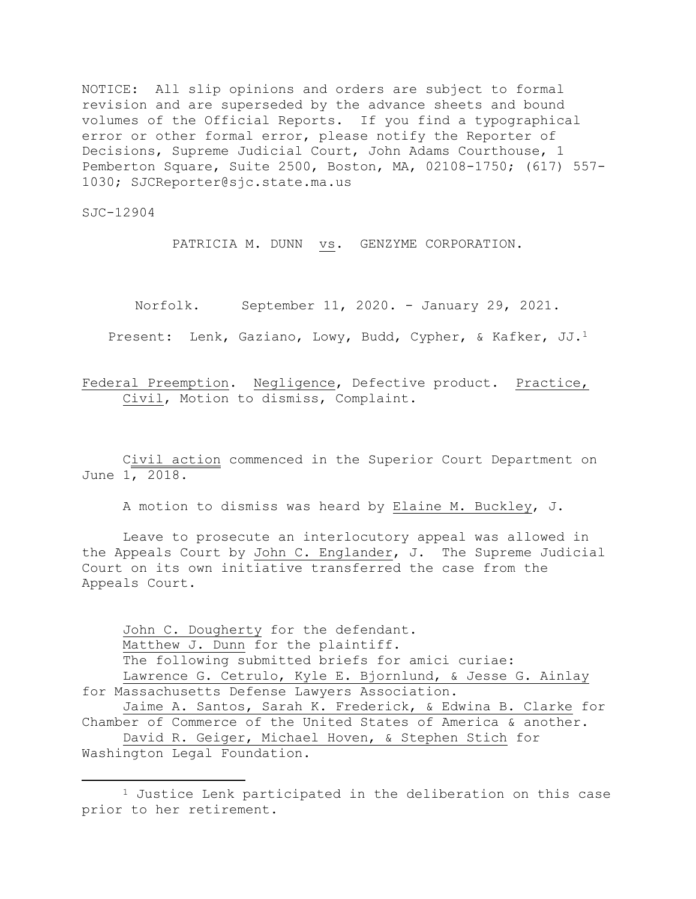NOTICE: All slip opinions and orders are subject to formal revision and are superseded by the advance sheets and bound volumes of the Official Reports. If you find a typographical error or other formal error, please notify the Reporter of Decisions, Supreme Judicial Court, John Adams Courthouse, 1 Pemberton Square, Suite 2500, Boston, MA, 02108-1750; (617) 557- 1030; SJCReporter@sjc.state.ma.us

SJC-12904

PATRICIA M. DUNN vs. GENZYME CORPORATION.

Norfolk. September 11, 2020. - January 29, 2021.

Present: Lenk, Gaziano, Lowy, Budd, Cypher, & Kafker, JJ.<sup>1</sup>

Federal Preemption. Negligence, Defective product. Practice, Civil, Motion to dismiss, Complaint.

Civil action commenced in the Superior Court Department on June 1, 2018.

A motion to dismiss was heard by Elaine M. Buckley, J.

Leave to prosecute an interlocutory appeal was allowed in the Appeals Court by John C. Englander, J. The Supreme Judicial Court on its own initiative transferred the case from the Appeals Court.

John C. Dougherty for the defendant. Matthew J. Dunn for the plaintiff. The following submitted briefs for amici curiae: Lawrence G. Cetrulo, Kyle E. Bjornlund, & Jesse G. Ainlay for Massachusetts Defense Lawyers Association. Jaime A. Santos, Sarah K. Frederick, & Edwina B. Clarke for Chamber of Commerce of the United States of America & another. David R. Geiger, Michael Hoven, & Stephen Stich for

Washington Legal Foundation.

 $\overline{\phantom{a}}$ 

<sup>1</sup> Justice Lenk participated in the deliberation on this case prior to her retirement.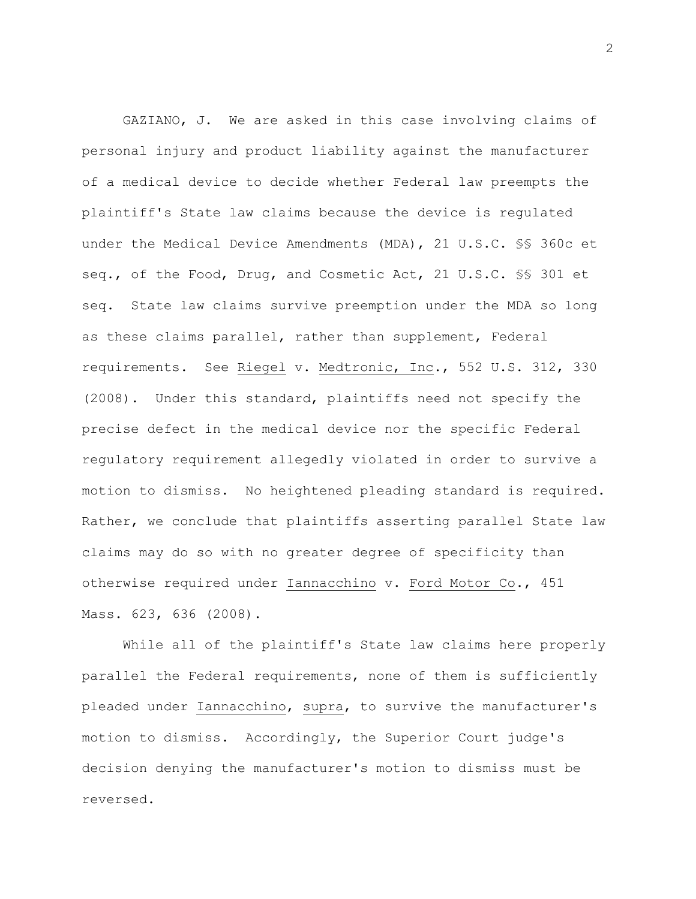GAZIANO, J. We are asked in this case involving claims of personal injury and product liability against the manufacturer of a medical device to decide whether Federal law preempts the plaintiff's State law claims because the device is regulated under the Medical Device Amendments (MDA), 21 U.S.C. §§ 360c et seq., of the Food, Drug, and Cosmetic Act, 21 U.S.C. §§ 301 et seq. State law claims survive preemption under the MDA so long as these claims parallel, rather than supplement, Federal requirements. See Riegel v. Medtronic, Inc., 552 U.S. 312, 330 (2008). Under this standard, plaintiffs need not specify the precise defect in the medical device nor the specific Federal regulatory requirement allegedly violated in order to survive a motion to dismiss. No heightened pleading standard is required. Rather, we conclude that plaintiffs asserting parallel State law claims may do so with no greater degree of specificity than otherwise required under Iannacchino v. Ford Motor Co., 451 Mass. 623, 636 (2008).

While all of the plaintiff's State law claims here properly parallel the Federal requirements, none of them is sufficiently pleaded under Iannacchino, supra, to survive the manufacturer's motion to dismiss. Accordingly, the Superior Court judge's decision denying the manufacturer's motion to dismiss must be reversed.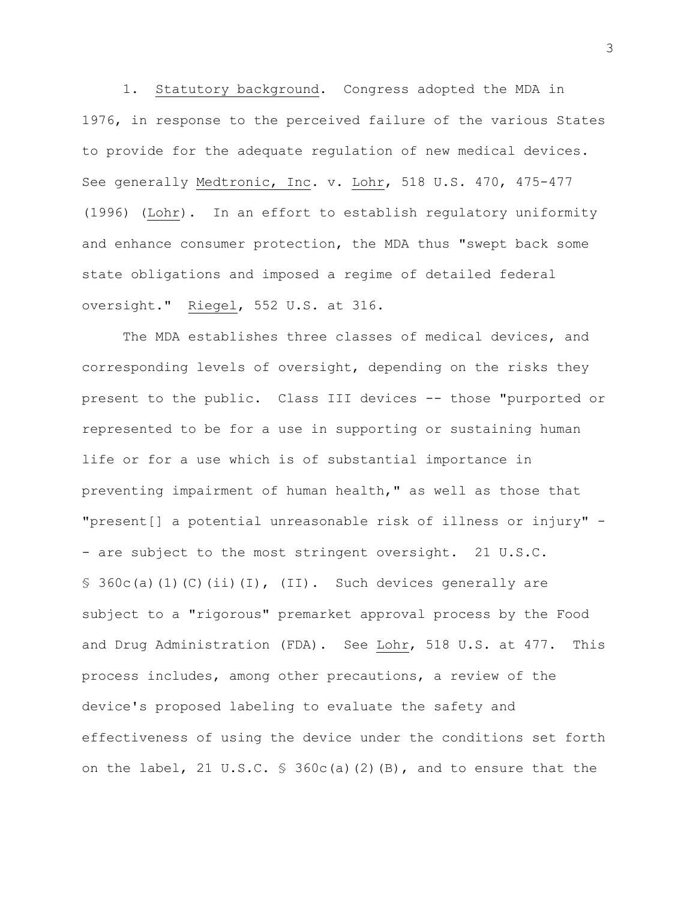1. Statutory background. Congress adopted the MDA in 1976, in response to the perceived failure of the various States to provide for the adequate regulation of new medical devices. See generally Medtronic, Inc. v. Lohr, 518 U.S. 470, 475-477 (1996) (Lohr). In an effort to establish regulatory uniformity and enhance consumer protection, the MDA thus "swept back some state obligations and imposed a regime of detailed federal oversight." Riegel, 552 U.S. at 316.

The MDA establishes three classes of medical devices, and corresponding levels of oversight, depending on the risks they present to the public. Class III devices -- those "purported or represented to be for a use in supporting or sustaining human life or for a use which is of substantial importance in preventing impairment of human health," as well as those that "present[] a potential unreasonable risk of illness or injury" - - are subject to the most stringent oversight. 21 U.S.C.  $\S$  360c(a)(1)(C)(ii)(I),(II). Such devices generally are subject to a "rigorous" premarket approval process by the Food and Drug Administration (FDA). See Lohr, 518 U.S. at 477. This process includes, among other precautions, a review of the device's proposed labeling to evaluate the safety and effectiveness of using the device under the conditions set forth on the label, 21 U.S.C. § [360c\(a\)\(2\)\(B\),](https://1.next.westlaw.com/Link/Document/FullText?findType=L&pubNum=1000546&cite=21USCAS360C&originatingDoc=I0cdda5b9df5c11dc8dba9deb08599717&refType=RB&originationContext=document&transitionType=DocumentItem&contextData=(sc.Default)#co_pp_f93f00008d291) and to ensure that the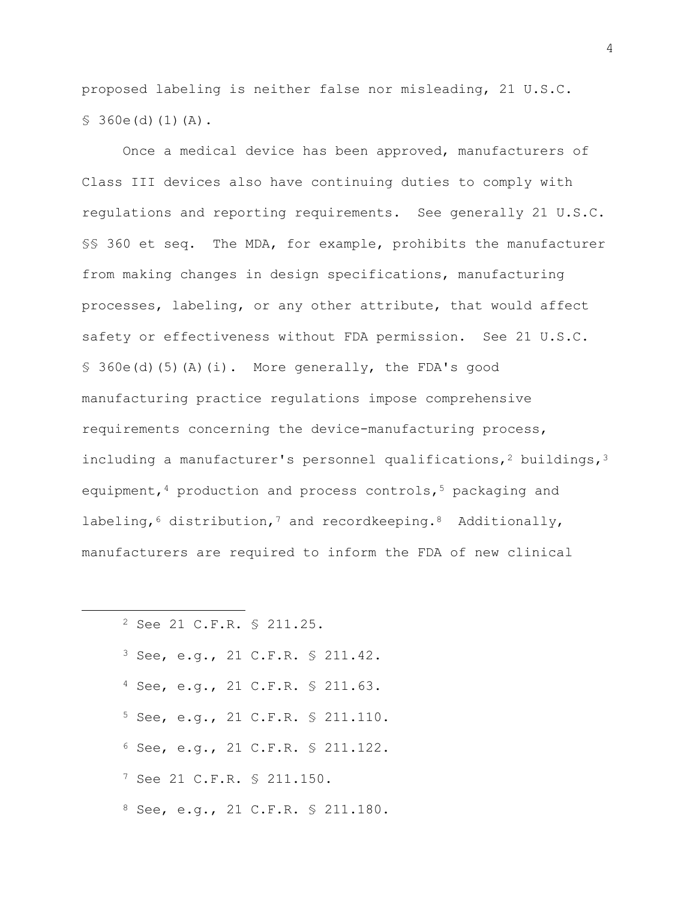proposed labeling is neither false nor misleading, 21 [U.S.C.](https://1.next.westlaw.com/Link/Document/FullText?findType=L&pubNum=1000546&cite=21USCAS360E&originatingDoc=I0cdda5b9df5c11dc8dba9deb08599717&refType=RB&originationContext=document&transitionType=DocumentItem&contextData=(sc.Default)#co_pp_a7830000870a0)   $$360e(d)(1)(A).$  $$360e(d)(1)(A).$ 

Once a medical device has been approved, manufacturers of Class III devices also have continuing duties to comply with regulations and reporting requirements. See generally 21 U.S.C. §§ 360 et seq. The MDA, for example, prohibits the manufacturer from making changes in design specifications, manufacturing processes, labeling, or any other attribute, that would affect safety or effectiveness without FDA permission. See [21 U.S.C.](https://1.next.westlaw.com/Link/Document/FullText?findType=L&pubNum=1000546&cite=21USCAS360E&originatingDoc=I0cdda5b9df5c11dc8dba9deb08599717&refType=RB&originationContext=document&transitionType=DocumentItem&contextData=(sc.Default)#co_pp_701700008cf77) § [360e\(d\)\(5\)\(A\)\(i\).](https://1.next.westlaw.com/Link/Document/FullText?findType=L&pubNum=1000546&cite=21USCAS360E&originatingDoc=I0cdda5b9df5c11dc8dba9deb08599717&refType=RB&originationContext=document&transitionType=DocumentItem&contextData=(sc.Default)#co_pp_701700008cf77) More generally, the FDA's good manufacturing practice regulations impose comprehensive requirements concerning the device-manufacturing process, including a manufacturer's personnel qualifications,<sup>2</sup> buildings,<sup>3</sup> equipment,  $4$  production and process controls,  $5$  packaging and labeling,  $6$  distribution,  $7$  and recordkeeping.  $8$  Additionally, manufacturers are required to inform the FDA of new clinical

|  |  |  | <sup>2</sup> See 21 C.F.R. § 211.25. |                                     |
|--|--|--|--------------------------------------|-------------------------------------|
|  |  |  |                                      | $3$ See, e.g., 21 C.F.R. § 211.42.  |
|  |  |  |                                      | $4$ See, e.g., 21 C.F.R. § 211.63.  |
|  |  |  |                                      | $5$ See, e.g., 21 C.F.R. § 211.110. |
|  |  |  |                                      | $6$ See, e.g., 21 C.F.R. § 211.122. |
|  |  |  | 7 See 21 C.F.R. § 211.150.           |                                     |
|  |  |  |                                      | 8 See, e.g., 21 C.F.R. § 211.180.   |

 $\overline{\phantom{a}}$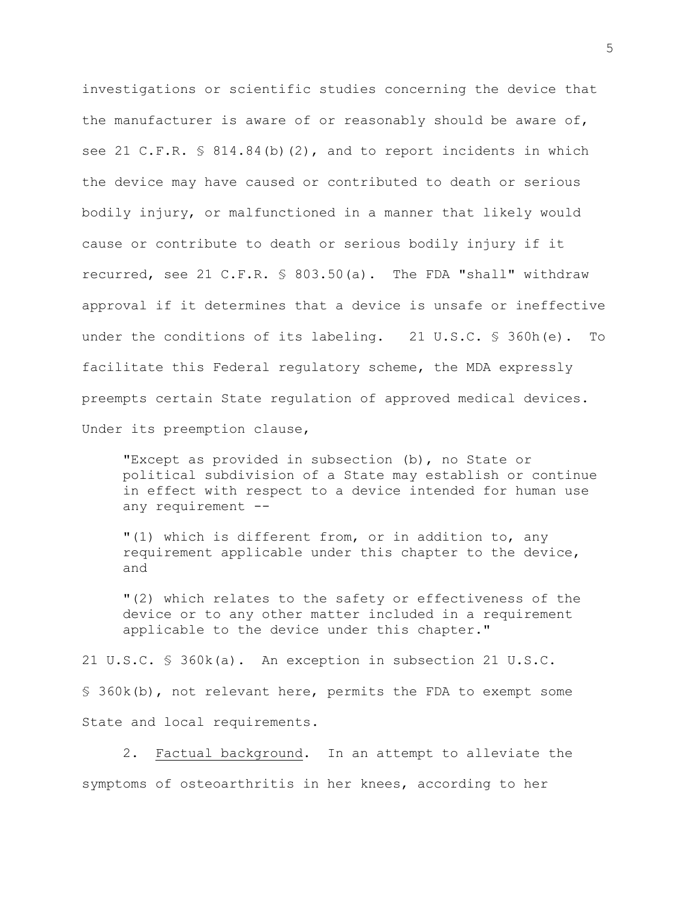investigations or scientific studies concerning the device that the manufacturer is aware of or reasonably should be aware of, see 21 C.F.R. § 814.84(b)(2), and to report incidents in which the device may have caused or contributed to death or serious bodily injury, or malfunctioned in a manner that likely would cause or contribute to death or serious bodily injury if it recurred, see 21 C.F.R. § 803.50(a). The FDA "shall" withdraw approval if it determines that a device is unsafe or ineffective under the conditions of its labeling. 21 U.S.C. § 360h(e). To facilitate this Federal regulatory scheme, the MDA expressly preempts certain State regulation of approved medical devices. Under its preemption clause,

"Except as provided in subsection (b), no State or political subdivision of a State may establish or continue in effect with respect to a device intended for human use any requirement --

"(1) which is different from, or in addition to, any requirement applicable under this chapter to the device, and

"(2) which relates to the safety or effectiveness of the device or to any other matter included in a requirement applicable to the device under this chapter."

21 U.S.C. § 360k(a). An exception in subsection 21 U.S.C. § 360k(b), not relevant here, permits the FDA to exempt some State and local requirements.

2. Factual background. In an attempt to alleviate the symptoms of osteoarthritis in her knees, according to her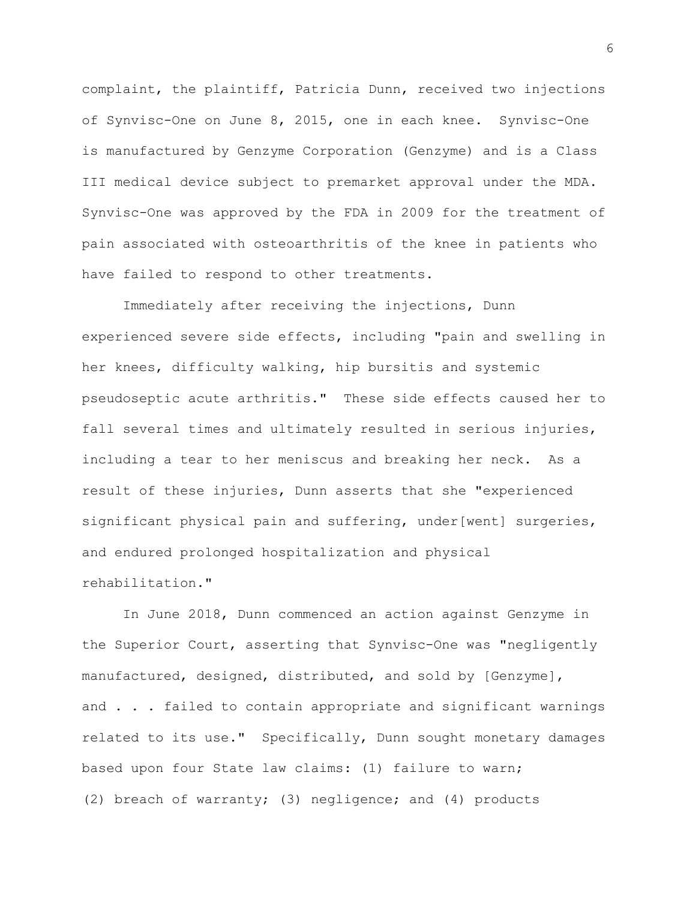complaint, the plaintiff, Patricia Dunn, received two injections of Synvisc-One on June 8, 2015, one in each knee. Synvisc-One is manufactured by Genzyme Corporation (Genzyme) and is a Class III medical device subject to premarket approval under the MDA. Synvisc-One was approved by the FDA in 2009 for the treatment of pain associated with osteoarthritis of the knee in patients who have failed to respond to other treatments.

Immediately after receiving the injections, Dunn experienced severe side effects, including "pain and swelling in her knees, difficulty walking, hip bursitis and systemic pseudoseptic acute arthritis." These side effects caused her to fall several times and ultimately resulted in serious injuries, including a tear to her meniscus and breaking her neck. As a result of these injuries, Dunn asserts that she "experienced significant physical pain and suffering, under[went] surgeries, and endured prolonged hospitalization and physical rehabilitation."

In June 2018, Dunn commenced an action against Genzyme in the Superior Court, asserting that Synvisc-One was "negligently manufactured, designed, distributed, and sold by [Genzyme], and . . . failed to contain appropriate and significant warnings related to its use." Specifically, Dunn sought monetary damages based upon four State law claims: (1) failure to warn; (2) breach of warranty; (3) negligence; and (4) products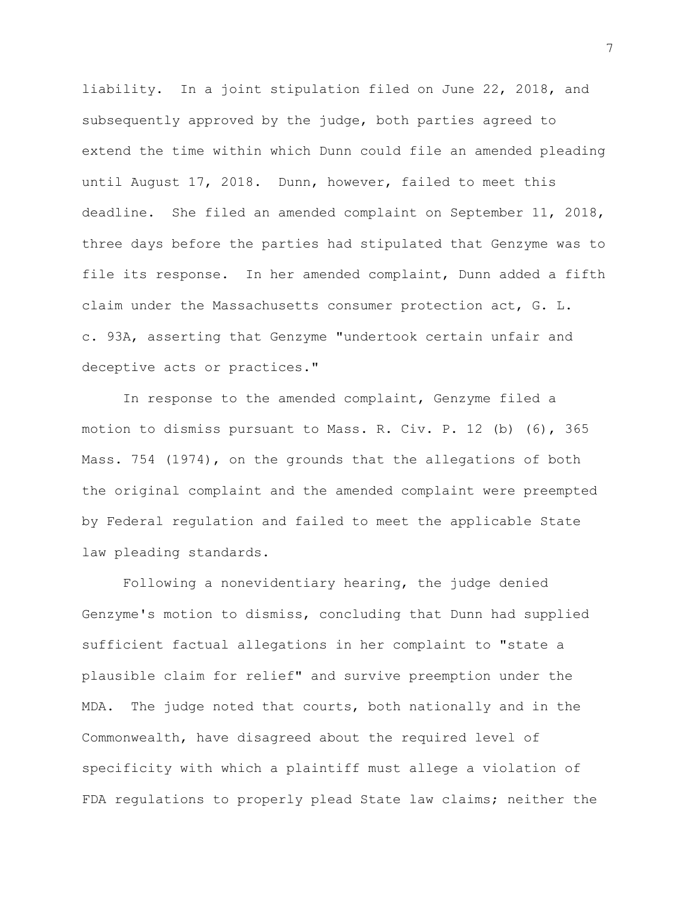liability. In a joint stipulation filed on June 22, 2018, and subsequently approved by the judge, both parties agreed to extend the time within which Dunn could file an amended pleading until August 17, 2018. Dunn, however, failed to meet this deadline. She filed an amended complaint on September 11, 2018, three days before the parties had stipulated that Genzyme was to file its response. In her amended complaint, Dunn added a fifth claim under the Massachusetts consumer protection act, G. L. c. 93A, asserting that Genzyme "undertook certain unfair and deceptive acts or practices."

In response to the amended complaint, Genzyme filed a motion to dismiss pursuant to Mass. R. Civ. P. 12 (b) (6), 365 Mass. 754 (1974), on the grounds that the allegations of both the original complaint and the amended complaint were preempted by Federal regulation and failed to meet the applicable State law pleading standards.

Following a nonevidentiary hearing, the judge denied Genzyme's motion to dismiss, concluding that Dunn had supplied sufficient factual allegations in her complaint to "state a plausible claim for relief" and survive preemption under the MDA. The judge noted that courts, both nationally and in the Commonwealth, have disagreed about the required level of specificity with which a plaintiff must allege a violation of FDA regulations to properly plead State law claims; neither the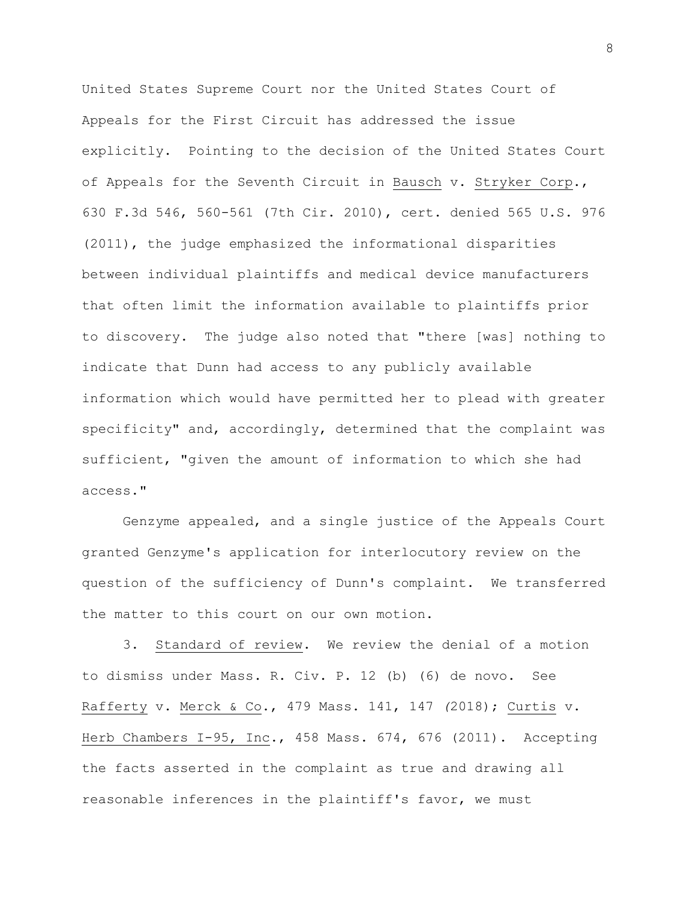United States Supreme Court nor the United States Court of Appeals for the First Circuit has addressed the issue explicitly. Pointing to the decision of the United States Court of Appeals for the Seventh Circuit in Bausch v. Stryker Corp., 630 F.3d 546, 560-561 (7th Cir. 2010), cert. denied 565 U.S. 976 (2011), the judge emphasized the informational disparities between individual plaintiffs and medical device manufacturers that often limit the information available to plaintiffs prior to discovery. The judge also noted that "there [was] nothing to indicate that Dunn had access to any publicly available information which would have permitted her to plead with greater specificity" and, accordingly, determined that the complaint was sufficient, "given the amount of information to which she had access."

Genzyme appealed, and a single justice of the Appeals Court granted Genzyme's application for interlocutory review on the question of the sufficiency of Dunn's complaint. We transferred the matter to this court on our own motion.

3. Standard of review. We review the denial of a motion to dismiss under Mass. R. Civ. P. 12 (b) (6) de novo. See Rafferty v. Merck & Co., 479 Mass. 141, 147 *(*2018); Curtis v. Herb Chambers I-95, Inc., 458 Mass. 674, 676 (2011). Accepting the facts asserted in the complaint as true and drawing all reasonable inferences in the plaintiff's favor, we must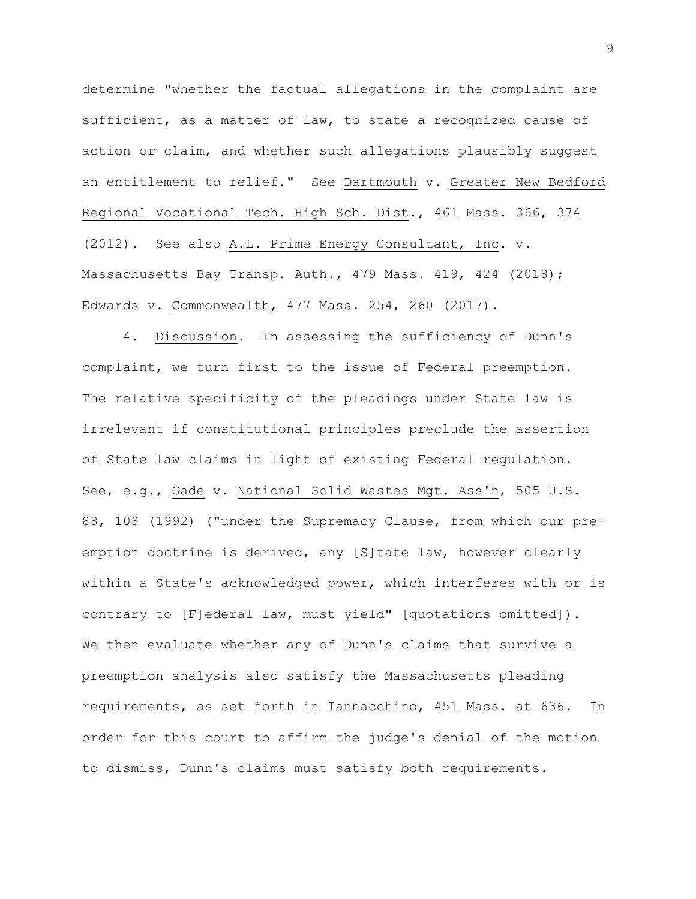determine "whether the factual allegations in the complaint are sufficient, as a matter of law, to state a recognized cause of action or claim, and whether such allegations plausibly suggest an entitlement to relief." See Dartmouth v. Greater New Bedford Regional Vocational Tech. High Sch. Dist., 461 Mass. 366, 374 (2012). See also A.L. Prime Energy Consultant, Inc. v. Massachusetts Bay Transp. Auth., 479 Mass. 419, 424 (2018); Edwards v. Commonwealth, 477 Mass. 254, 260 (2017).

4. Discussion. In assessing the sufficiency of Dunn's complaint, we turn first to the issue of Federal preemption. The relative specificity of the pleadings under State law is irrelevant if constitutional principles preclude the assertion of State law claims in light of existing Federal regulation. See, e.g., Gade v. National Solid Wastes Mgt. Ass'n, 505 U.S. 88, 108 (1992) ("under the Supremacy Clause, from which our preemption doctrine is derived, any [S]tate law, however clearly within a State's acknowledged power, which interferes with or is contrary to [F]ederal law, must yield" [quotations omitted]). We then evaluate whether any of Dunn's claims that survive a preemption analysis also satisfy the Massachusetts pleading requirements, as set forth in Iannacchino, 451 Mass. at 636. In order for this court to affirm the judge's denial of the motion to dismiss, Dunn's claims must satisfy both requirements.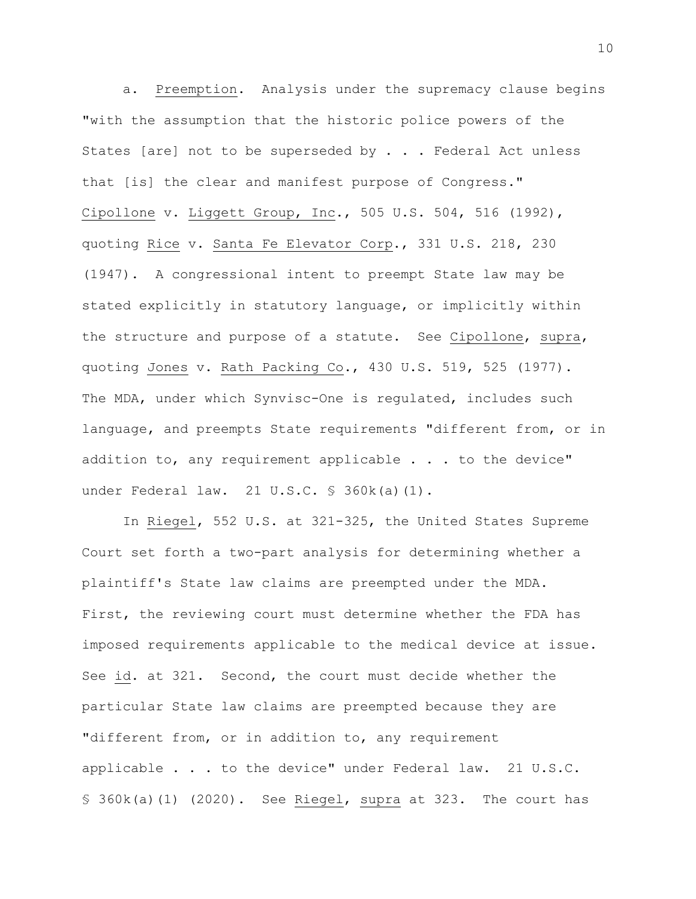a. Preemption. Analysis under the supremacy clause begins "with the assumption that the historic police powers of the States [are] not to be superseded by . . . Federal Act unless that [is] the clear and manifest purpose of Congress." Cipollone v. Liggett Group, Inc., 505 U.S. 504, 516 (1992), quoting Rice v. Santa Fe Elevator Corp., 331 U.S. 218, 230 (1947). A congressional intent to preempt State law may be stated explicitly in statutory language, or implicitly within the structure and purpose of a statute. See Cipollone, supra, quoting Jones v. Rath Packing Co., 430 U.S. 519, 525 (1977). The MDA, under which Synvisc-One is regulated, includes such language, and preempts State requirements "different from, or in addition to, any requirement applicable . . . to the device" under Federal law. 21 U.S.C. § 360k(a)(1).

In Riegel, 552 U.S. at 321-325, the United States Supreme Court set forth a two-part analysis for determining whether a plaintiff's State law claims are preempted under the MDA. First, the reviewing court must determine whether the FDA has imposed requirements applicable to the medical device at issue. See id. at 321. Second, the court must decide whether the particular State law claims are preempted because they are "different from, or in addition to, any requirement applicable . . . to the device" under Federal law. 21 U.S.C. § 360k(a)(1) (2020). See Riegel, supra at 323. The court has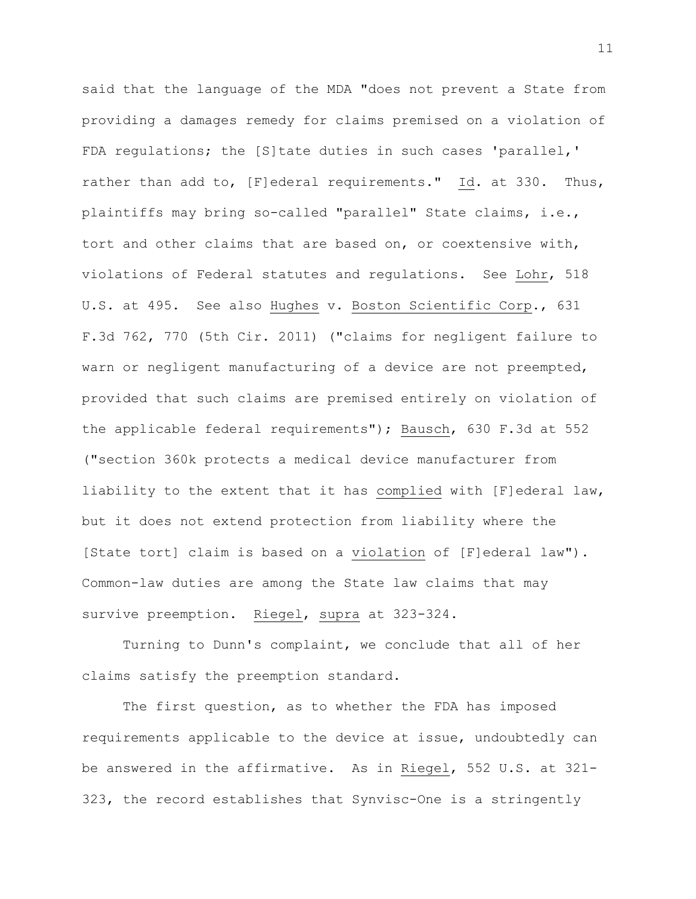said that the language of the MDA "does not prevent a State from providing a damages remedy for claims premised on a violation of FDA regulations; the [S]tate duties in such cases 'parallel,' rather than add to, [F]ederal requirements." Id. at 330. Thus, plaintiffs may bring so-called "parallel" State claims, i.e., tort and other claims that are based on, or coextensive with, violations of Federal statutes and regulations. See Lohr, 518 U.S. at 495. See also Hughes v. Boston Scientific Corp., 631 F.3d 762, 770 (5th Cir. 2011) ("claims for negligent failure to warn or negligent manufacturing of a device are not preempted, provided that such claims are premised entirely on violation of the applicable federal requirements"); Bausch, 630 F.3d at 552 ("section 360k protects a medical device manufacturer from liability to the extent that it has complied with [F]ederal law, but it does not extend protection from liability where the [State tort] claim is based on a violation of [F]ederal law"). Common-law duties are among the State law claims that may survive preemption. Riegel, supra at 323-324.

Turning to Dunn's complaint, we conclude that all of her claims satisfy the preemption standard.

The first question, as to whether the FDA has imposed requirements applicable to the device at issue, undoubtedly can be answered in the affirmative. As in Riegel, 552 U.S. at 321- 323, the record establishes that Synvisc-One is a stringently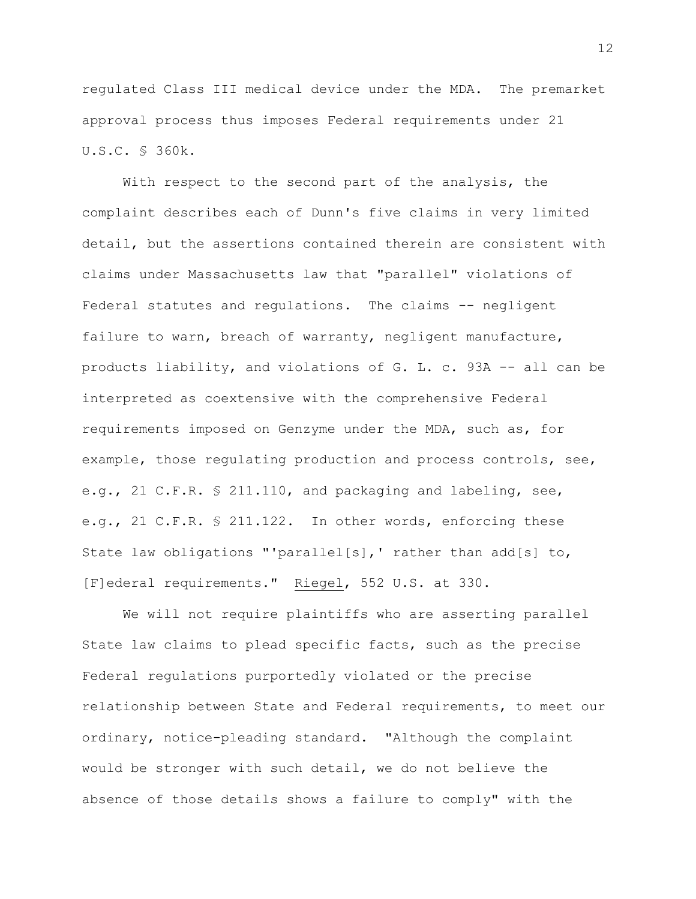regulated Class III medical device under the MDA. The premarket approval process thus imposes Federal requirements under 21 U.S.C. § 360k.

With respect to the second part of the analysis, the complaint describes each of Dunn's five claims in very limited detail, but the assertions contained therein are consistent with claims under Massachusetts law that "parallel" violations of Federal statutes and regulations. The claims -- negligent failure to warn, breach of warranty, negligent manufacture, products liability, and violations of G. L. c. 93A -- all can be interpreted as coextensive with the comprehensive Federal requirements imposed on Genzyme under the MDA, such as, for example, those regulating production and process controls, see, e.g., 21 C.F.R. § 211.110, and packaging and labeling, see, e.g., 21 C.F.R. § 211.122. In other words, enforcing these State law obligations "'parallel[s],' rather than add[s] to, [F]ederal requirements." Riegel, 552 U.S. at 330.

We will not require plaintiffs who are asserting parallel State law claims to plead specific facts, such as the precise Federal regulations purportedly violated or the precise relationship between State and Federal requirements, to meet our ordinary, notice-pleading standard. "Although the complaint would be stronger with such detail, we do not believe the absence of those details shows a failure to comply" with the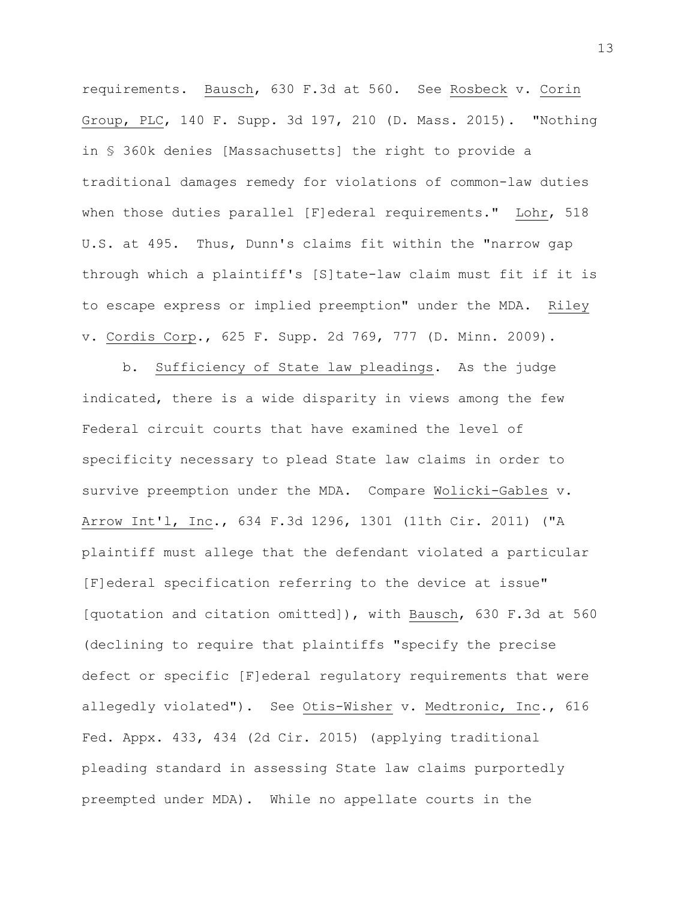requirements. Bausch, 630 F.3d at 560. See Rosbeck v. Corin Group, PLC, 140 F. Supp. 3d 197, 210 (D. Mass. 2015). "Nothing in § 360k denies [Massachusetts] the right to provide a traditional damages remedy for violations of common-law duties when those duties parallel [F]ederal requirements." Lohr, 518 U.S. at 495. Thus, Dunn's claims fit within the "narrow gap through which a plaintiff's [S]tate-law claim must fit if it is to escape express or implied preemption" under the MDA. Riley v. Cordis Corp., 625 F. Supp. 2d 769, 777 (D. Minn. 2009).

b. Sufficiency of State law pleadings. As the judge indicated, there is a wide disparity in views among the few Federal circuit courts that have examined the level of specificity necessary to plead State law claims in order to survive preemption under the MDA. Compare Wolicki-Gables v. Arrow Int'l, Inc., 634 F.3d 1296, 1301 (11th Cir. 2011) ("A plaintiff must allege that the defendant violated a particular [F]ederal specification referring to the device at issue" [quotation and citation omitted]), with Bausch, 630 F.3d at 560 (declining to require that plaintiffs "specify the precise defect or specific [F]ederal regulatory requirements that were allegedly violated"). See Otis-Wisher v. Medtronic, Inc., 616 Fed. Appx. 433, 434 (2d Cir. 2015) (applying traditional pleading standard in assessing State law claims purportedly preempted under MDA). While no appellate courts in the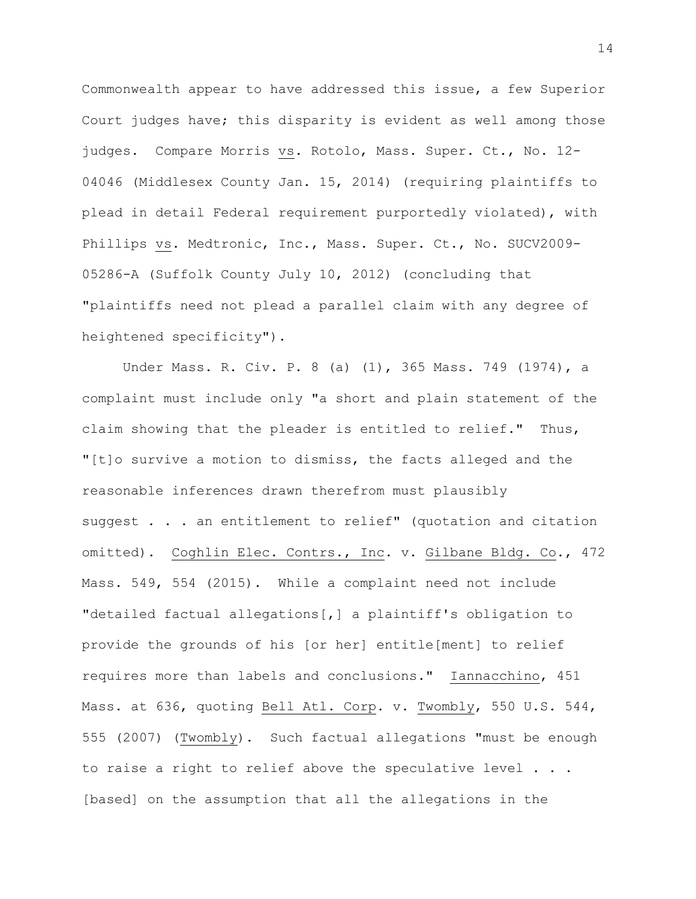Commonwealth appear to have addressed this issue, a few Superior Court judges have; this disparity is evident as well among those judges. Compare Morris vs. Rotolo, Mass. Super. Ct., No. 12- 04046 (Middlesex County Jan. 15, 2014) (requiring plaintiffs to plead in detail Federal requirement purportedly violated), with Phillips vs. Medtronic, Inc., Mass. Super. Ct., No. SUCV2009-05286-A (Suffolk County July 10, 2012) (concluding that "plaintiffs need not plead a parallel claim with any degree of heightened specificity").

Under Mass. R. Civ. P. 8 (a) (1), 365 Mass. 749 (1974), a complaint must include only "a short and plain statement of the claim showing that the pleader is entitled to relief." Thus, "[t]o survive a motion to dismiss, the facts alleged and the reasonable inferences drawn therefrom must plausibly suggest . . . an entitlement to relief" (quotation and citation omitted). Coghlin Elec. Contrs., Inc. v. Gilbane Bldg. Co., 472 Mass. 549, 554 (2015). While a complaint need not include "detailed factual allegations[,] a plaintiff's obligation to provide the grounds of his [or her] entitle[ment] to relief requires more than labels and conclusions." Iannacchino, 451 Mass. at 636, quoting Bell Atl. Corp. v. Twombly, 550 U.S. 544, 555 (2007) (Twombly). Such factual allegations "must be enough to raise a right to relief above the speculative level . . . [based] on the assumption that all the allegations in the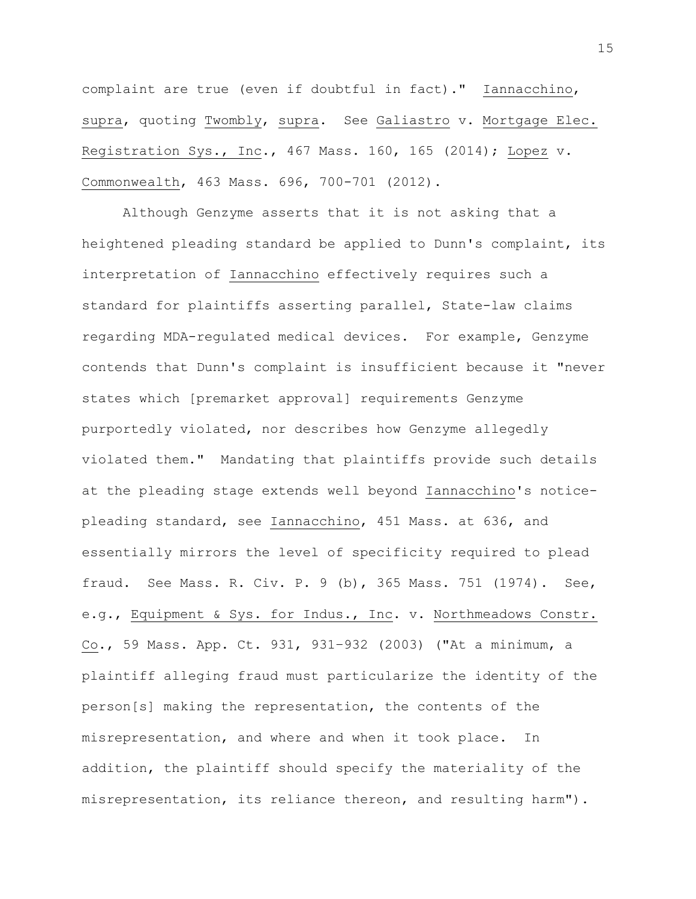complaint are true (even if doubtful in fact)." Iannacchino, supra, quoting Twombly, supra. See Galiastro v. Mortgage Elec. Registration Sys., Inc., 467 Mass. 160, 165 (2014); Lopez v. Commonwealth, 463 Mass. 696, 700-701 (2012).

Although Genzyme asserts that it is not asking that a heightened pleading standard be applied to Dunn's complaint, its interpretation of Iannacchino effectively requires such a standard for plaintiffs asserting parallel, State-law claims regarding MDA-regulated medical devices. For example, Genzyme contends that Dunn's complaint is insufficient because it "never states which [premarket approval] requirements Genzyme purportedly violated, nor describes how Genzyme allegedly violated them." Mandating that plaintiffs provide such details at the pleading stage extends well beyond Iannacchino's noticepleading standard, see Iannacchino, 451 Mass. at 636, and essentially mirrors the level of specificity required to plead fraud. See Mass. R. Civ. P. 9 (b), 365 Mass. 751 (1974). See, e.g., Equipment & Sys. for Indus., Inc. v. Northmeadows Constr. Co., 59 Mass. App. Ct. 931, 931–932 (2003) ("At a minimum, a plaintiff alleging fraud must particularize the identity of the person[s] making the representation, the contents of the misrepresentation, and where and when it took place. In addition, the plaintiff should specify the materiality of the misrepresentation, its reliance thereon, and resulting harm").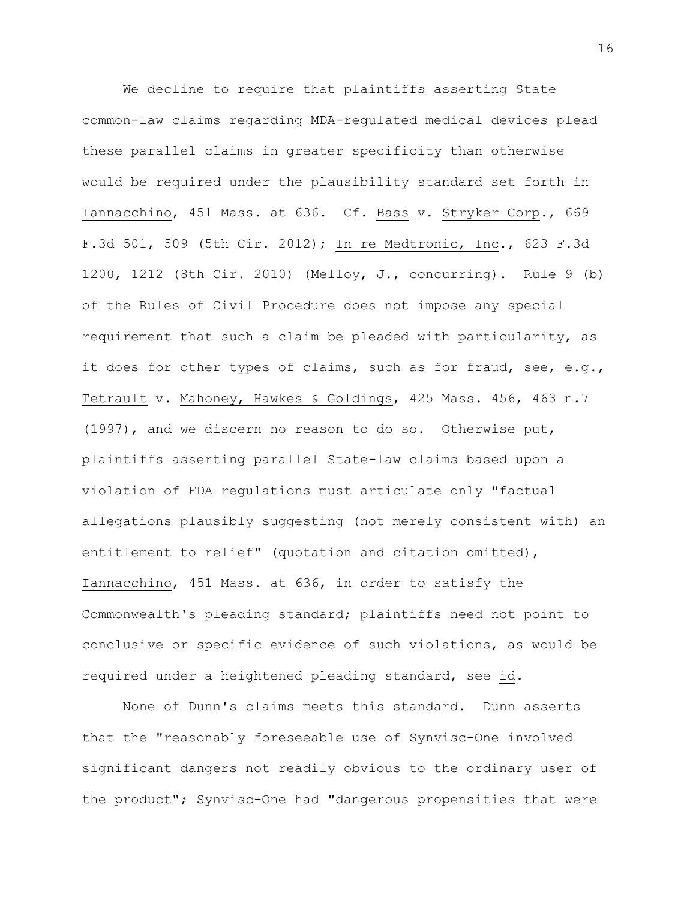We decline to require that plaintiffs asserting State common-law claims regarding MDA-regulated medical devices plead these parallel claims in greater specificity than otherwise would be required under the plausibility standard set forth in Iannacchino, 451 Mass. at 636. Cf. Bass v. Stryker Corp., 669 F.3d 501, 509 (5th Cir. 2012); In re Medtronic, Inc., 623 F.3d 1200, 1212 (8th Cir. 2010) (Melloy, J., concurring). Rule 9 (b) of the Rules of Civil Procedure does not impose any special requirement that such a claim be pleaded with particularity, as it does for other types of claims, such as for fraud, see, e.g., Tetrault v. Mahoney, Hawkes & Goldings, 425 Mass. 456, 463 n.7 (1997), and we discern no reason to do so. Otherwise put, plaintiffs asserting parallel State-law claims based upon a violation of FDA regulations must articulate only "factual allegations plausibly suggesting (not merely consistent with) an entitlement to relief" (quotation and citation omitted), Iannacchino, 451 Mass. at 636, in order to satisfy the Commonwealth's pleading standard; plaintiffs need not point to conclusive or specific evidence of such violations, as would be required under a heightened pleading standard, see id.

None of Dunn's claims meets this standard. Dunn asserts that the "reasonably foreseeable use of Synvisc-One involved significant dangers not readily obvious to the ordinary user of the product"; Synvisc-One had "dangerous propensities that were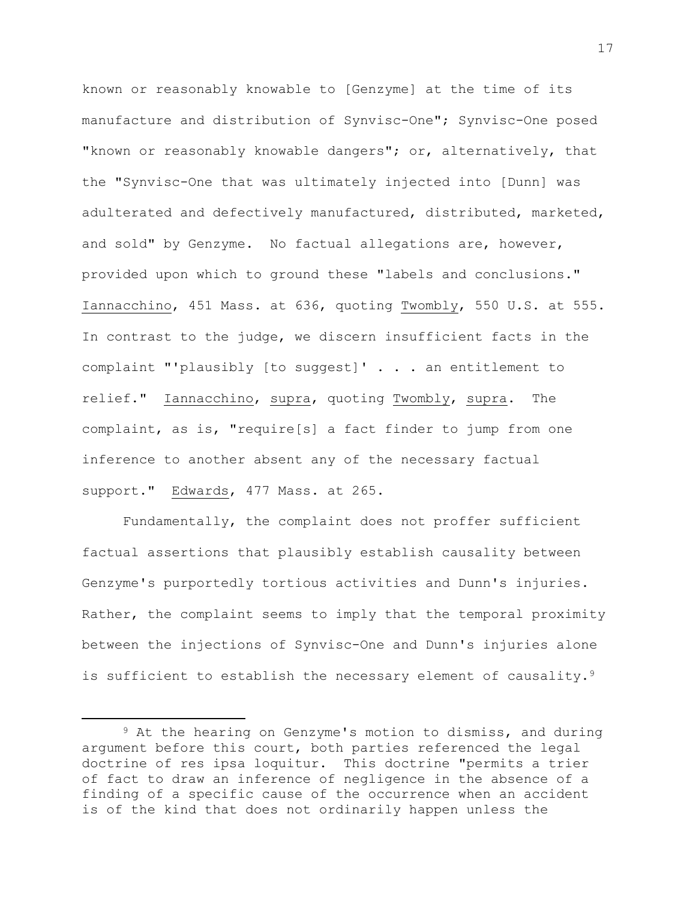known or reasonably knowable to [Genzyme] at the time of its manufacture and distribution of Synvisc-One"; Synvisc-One posed "known or reasonably knowable dangers"; or, alternatively, that the "Synvisc-One that was ultimately injected into [Dunn] was adulterated and defectively manufactured, distributed, marketed, and sold" by Genzyme. No factual allegations are, however, provided upon which to ground these "labels and conclusions." Iannacchino, 451 Mass. at 636, quoting Twombly, 550 U.S. at 555. In contrast to the judge, we discern insufficient facts in the complaint "'plausibly [to suggest]' . . . an entitlement to relief." Iannacchino, supra, quoting Twombly, supra. The complaint, as is, "require[s] a fact finder to jump from one inference to another absent any of the necessary factual support." Edwards, 477 Mass. at 265.

Fundamentally, the complaint does not proffer sufficient factual assertions that plausibly establish causality between Genzyme's purportedly tortious activities and Dunn's injuries. Rather, the complaint seems to imply that the temporal proximity between the injections of Synvisc-One and Dunn's injuries alone is sufficient to establish the necessary element of causality.<sup>9</sup>

 $\overline{\phantom{a}}$ 

<sup>9</sup> At the hearing on Genzyme's motion to dismiss, and during argument before this court, both parties referenced the legal doctrine of res ipsa loquitur. This doctrine "permits a trier of fact to draw an inference of negligence in the absence of a finding of a specific cause of the occurrence when an accident is of the kind that does not ordinarily happen unless the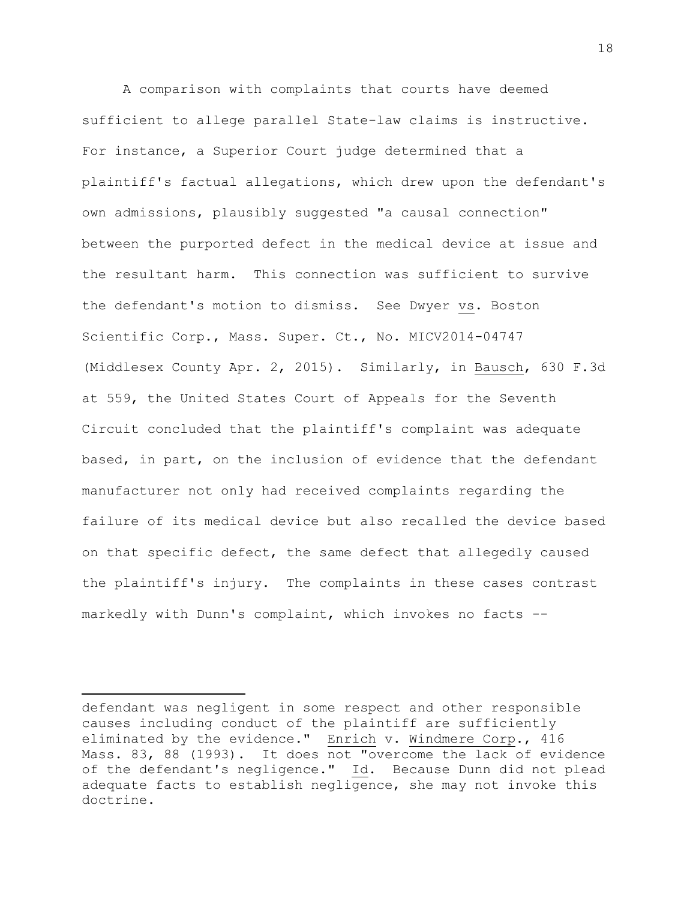A comparison with complaints that courts have deemed sufficient to allege parallel State-law claims is instructive. For instance, a Superior Court judge determined that a plaintiff's factual allegations, which drew upon the defendant's own admissions, plausibly suggested "a causal connection" between the purported defect in the medical device at issue and the resultant harm. This connection was sufficient to survive the defendant's motion to dismiss. See Dwyer vs. Boston Scientific Corp., Mass. Super. Ct., No. MICV2014-04747 (Middlesex County Apr. 2, 2015). Similarly, in Bausch, 630 F.3d at 559, the United States Court of Appeals for the Seventh Circuit concluded that the plaintiff's complaint was adequate based, in part, on the inclusion of evidence that the defendant manufacturer not only had received complaints regarding the failure of its medical device but also recalled the device based on that specific defect, the same defect that allegedly caused the plaintiff's injury. The complaints in these cases contrast markedly with Dunn's complaint, which invokes no facts --

 $\overline{a}$ 

defendant was negligent in some respect and other responsible causes including conduct of the plaintiff are sufficiently eliminated by the evidence." Enrich v. Windmere Corp., 416 Mass. 83, 88 (1993). It does not "overcome the lack of evidence of the defendant's negligence." Id. Because Dunn did not plead adequate facts to establish negligence, she may not invoke this doctrine**.**